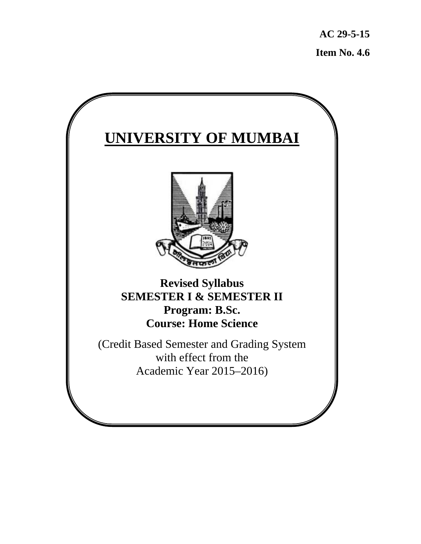**AC 29-5-15 Item No. 4.6**

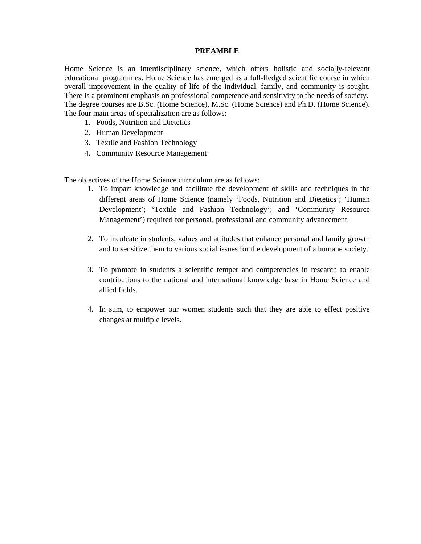#### **PREAMBLE**

Home Science is an interdisciplinary science, which offers holistic and socially-relevant educational programmes. Home Science has emerged as a full-fledged scientific course in which overall improvement in the quality of life of the individual, family, and community is sought. There is a prominent emphasis on professional competence and sensitivity to the needs of society. The degree courses are B.Sc. (Home Science), M.Sc. (Home Science) and Ph.D. (Home Science). The four main areas of specialization are as follows:

- 1. Foods, Nutrition and Dietetics
- 2. Human Development
- 3. Textile and Fashion Technology
- 4. Community Resource Management

The objectives of the Home Science curriculum are as follows:

- 1. To impart knowledge and facilitate the development of skills and techniques in the different areas of Home Science (namely 'Foods, Nutrition and Dietetics'; 'Human Development'; 'Textile and Fashion Technology'; and 'Community Resource Management') required for personal, professional and community advancement.
- 2. To inculcate in students, values and attitudes that enhance personal and family growth and to sensitize them to various social issues for the development of a humane society.
- 3. To promote in students a scientific temper and competencies in research to enable contributions to the national and international knowledge base in Home Science and allied fields.
- 4. In sum, to empower our women students such that they are able to effect positive changes at multiple levels.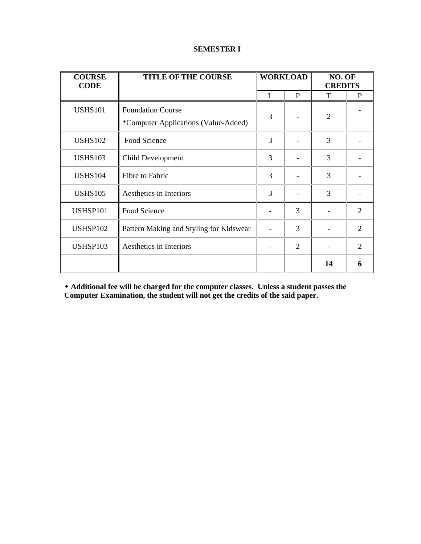| <b>COURSE</b><br><b>CODE</b> | <b>TITLE OF THE COURSE</b>                                       | <b>WORKLOAD</b> |                | NO. OF<br><b>CREDITS</b> |                             |
|------------------------------|------------------------------------------------------------------|-----------------|----------------|--------------------------|-----------------------------|
|                              |                                                                  | L               | P              | T                        | P                           |
| <b>USHS101</b>               | <b>Foundation Course</b><br>*Computer Applications (Value-Added) | 3               |                | $\overline{2}$           |                             |
| <b>USHS102</b>               | Food Science                                                     | 3               |                | 3                        |                             |
| <b>USHS103</b>               | Child Development                                                | 3               |                | 3                        |                             |
| <b>USHS104</b>               | Fibre to Fabric                                                  | 3               |                | 3                        |                             |
| <b>USHS105</b>               | Aesthetics in Interiors                                          | 3               |                | 3                        |                             |
| USHSP101                     | Food Science                                                     |                 | 3              |                          | 2                           |
| <b>USHSP102</b>              | Pattern Making and Styling for Kidswear                          |                 | 3              |                          | $\mathcal{D}_{\mathcal{L}}$ |
| USHSP103                     | Aesthetics in Interiors                                          |                 | $\overline{2}$ |                          | 2                           |
|                              |                                                                  |                 |                | 14                       | 6                           |

### **SEMESTER I**

 **Additional fee will be charged for the computer classes. Unless a student passes the Computer Examination, the student will not get the credits of the said paper.**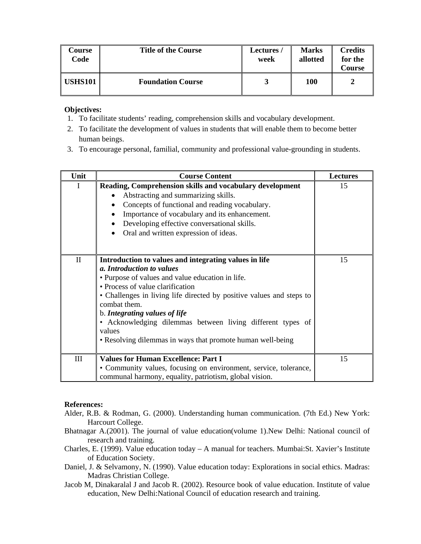| Course<br>Code | <b>Title of the Course</b> | <b>Lectures /</b><br>week | <b>Marks</b><br>allotted | <b>Credits</b><br>for the<br><b>Course</b> |
|----------------|----------------------------|---------------------------|--------------------------|--------------------------------------------|
| <b>USHS101</b> | <b>Foundation Course</b>   |                           | 100                      | 2                                          |

- 1. To facilitate students' reading, comprehension skills and vocabulary development.
- 2. To facilitate the development of values in students that will enable them to become better human beings.
- 3. To encourage personal, familial, community and professional value-grounding in students.

| Unit         | <b>Course Content</b>                                                                                                                                                                                                                                                                                                                                                                                                                     | <b>Lectures</b> |
|--------------|-------------------------------------------------------------------------------------------------------------------------------------------------------------------------------------------------------------------------------------------------------------------------------------------------------------------------------------------------------------------------------------------------------------------------------------------|-----------------|
| I            | Reading, Comprehension skills and vocabulary development<br>Abstracting and summarizing skills.<br>$\bullet$<br>Concepts of functional and reading vocabulary.<br>Importance of vocabulary and its enhancement.<br>Developing effective conversational skills.<br>Oral and written expression of ideas.                                                                                                                                   | 15              |
| $\mathbf{I}$ | Introduction to values and integrating values in life<br>a. Introduction to values<br>• Purpose of values and value education in life.<br>• Process of value clarification<br>• Challenges in living life directed by positive values and steps to<br>combat them.<br>b. Integrating values of life<br>• Acknowledging dilemmas between living different types of<br>values<br>• Resolving dilemmas in ways that promote human well-being | 15              |
| Ш            | <b>Values for Human Excellence: Part I</b><br>• Community values, focusing on environment, service, tolerance,<br>communal harmony, equality, patriotism, global vision.                                                                                                                                                                                                                                                                  | 15              |

#### **References:**

- Alder, R.B. & Rodman, G. (2000). Understanding human communication. (7th Ed.) New York: Harcourt College.
- Bhatnagar A.(2001). The journal of value education(volume 1).New Delhi: National council of research and training.
- Charles, E. (1999). Value education today A manual for teachers. Mumbai:St. Xavier's Institute of Education Society.
- Daniel, J. & Selvamony, N. (1990). Value education today: Explorations in social ethics. Madras: Madras Christian College.
- Jacob M, Dinakaralal J and Jacob R. (2002). Resource book of value education. Institute of value education, New Delhi:National Council of education research and training.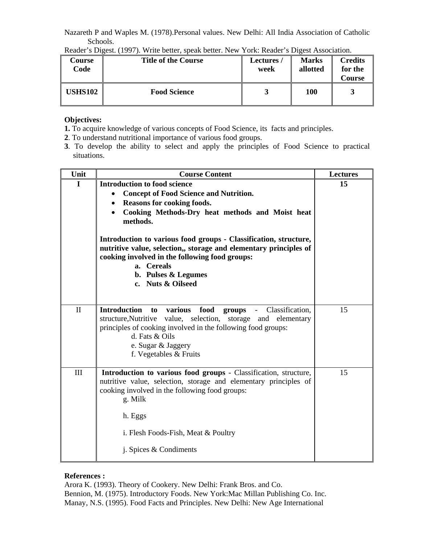Nazareth P and Waples M. (1978).Personal values. New Delhi: All India Association of Catholic Schools.

| Course<br>Code | <b>Title of the Course</b> | <b>Lectures /</b><br>week | <b>Marks</b><br>allotted | <b>Credits</b><br>for the<br>Course |
|----------------|----------------------------|---------------------------|--------------------------|-------------------------------------|
| <b>USHS102</b> | <b>Food Science</b>        |                           | 100                      |                                     |

Reader's Digest. (1997). Write better, speak better. New York: Reader's Digest Association.

# **Objectives:**

- **1.** To acquire knowledge of various concepts of Food Science, its facts and principles.
- **2**. To understand nutritional importance of various food groups.
- **3**. To develop the ability to select and apply the principles of Food Science to practical situations.

| Unit         | <b>Course Content</b>                                                                                                                                                                                                                                                             | <b>Lectures</b> |
|--------------|-----------------------------------------------------------------------------------------------------------------------------------------------------------------------------------------------------------------------------------------------------------------------------------|-----------------|
| I            | <b>Introduction to food science</b><br><b>Concept of Food Science and Nutrition.</b><br>$\bullet$<br>Reasons for cooking foods.<br>Cooking Methods-Dry heat methods and Moist heat<br>methods.                                                                                    | 15              |
|              | Introduction to various food groups - Classification, structure,<br>nutritive value, selection,, storage and elementary principles of<br>cooking involved in the following food groups:<br>a. Cereals<br>b. Pulses & Legumes<br>c. Nuts & Oilseed                                 |                 |
| $\mathbf{I}$ | <b>Introduction</b><br>food<br>various<br>groups - Classification,<br>to<br>structure, Nutritive value, selection,<br>storage and<br>elementary<br>principles of cooking involved in the following food groups:<br>d. Fats & Oils<br>e. Sugar & Jaggery<br>f. Vegetables & Fruits | 15              |
| III          | Introduction to various food groups - Classification, structure,<br>nutritive value, selection, storage and elementary principles of<br>cooking involved in the following food groups:<br>g. Milk<br>h. Eggs<br>i. Flesh Foods-Fish, Meat & Poultry<br>j. Spices & Condiments     | 15              |

# **References :**

Arora K. (1993). Theory of Cookery. New Delhi: Frank Bros. and Co. Bennion, M. (1975). Introductory Foods. New York:Mac Millan Publishing Co. Inc. Manay, N.S. (1995). Food Facts and Principles. New Delhi: New Age International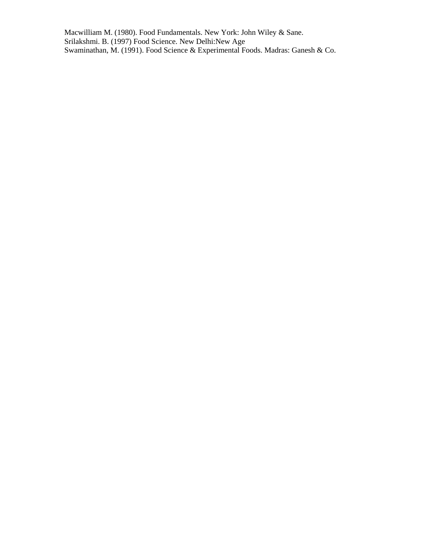Macwilliam M. (1980). Food Fundamentals. New York: John Wiley & Sane. Srilakshmi. B. (1997) Food Science. New Delhi:New Age Swaminathan, M. (1991). Food Science & Experimental Foods. Madras: Ganesh & Co.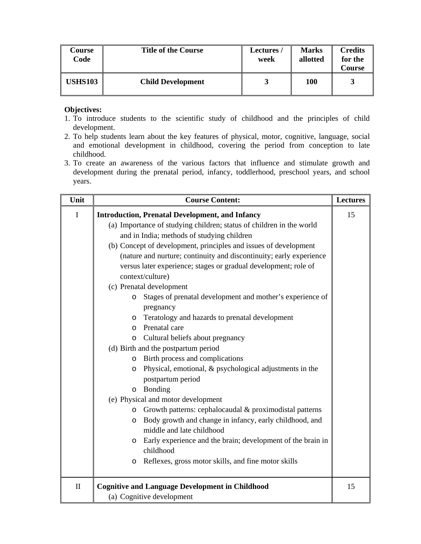| Course<br>Code | <b>Title of the Course</b> | Lectures/<br>week | <b>Marks</b><br>allotted | <b>Credits</b><br>for the<br>Course |
|----------------|----------------------------|-------------------|--------------------------|-------------------------------------|
| <b>USHS103</b> | <b>Child Development</b>   |                   | 100                      |                                     |

- 1. To introduce students to the scientific study of childhood and the principles of child development.
- 2. To help students learn about the key features of physical, motor, cognitive, language, social and emotional development in childhood, covering the period from conception to late childhood.
- 3. To create an awareness of the various factors that influence and stimulate growth and development during the prenatal period, infancy, toddlerhood, preschool years, and school years.

| Unit         | <b>Course Content:</b>                                                 | <b>Lectures</b> |
|--------------|------------------------------------------------------------------------|-----------------|
| I            | <b>Introduction, Prenatal Development, and Infancy</b>                 | 15              |
|              | (a) Importance of studying children; status of children in the world   |                 |
|              | and in India; methods of studying children                             |                 |
|              | (b) Concept of development, principles and issues of development       |                 |
|              | (nature and nurture; continuity and discontinuity; early experience    |                 |
|              | versus later experience; stages or gradual development; role of        |                 |
|              | context/culture)                                                       |                 |
|              | (c) Prenatal development                                               |                 |
|              | Stages of prenatal development and mother's experience of<br>$\circ$   |                 |
|              | pregnancy                                                              |                 |
|              | Teratology and hazards to prenatal development<br>O                    |                 |
|              | Prenatal care<br>$\circ$                                               |                 |
|              | Cultural beliefs about pregnancy<br>$\circ$                            |                 |
|              | (d) Birth and the postpartum period                                    |                 |
|              | Birth process and complications<br>O                                   |                 |
|              | Physical, emotional, & psychological adjustments in the<br>O           |                 |
|              | postpartum period                                                      |                 |
|              | Bonding<br>$\circ$                                                     |                 |
|              | (e) Physical and motor development                                     |                 |
|              | Growth patterns: cephalocaudal & proximodistal patterns<br>$\circ$     |                 |
|              | Body growth and change in infancy, early childhood, and<br>O           |                 |
|              | middle and late childhood                                              |                 |
|              | Early experience and the brain; development of the brain in<br>$\circ$ |                 |
|              | childhood                                                              |                 |
|              | Reflexes, gross motor skills, and fine motor skills<br>O               |                 |
| $\mathbf{I}$ | <b>Cognitive and Language Development in Childhood</b>                 | 15              |
|              | (a) Cognitive development                                              |                 |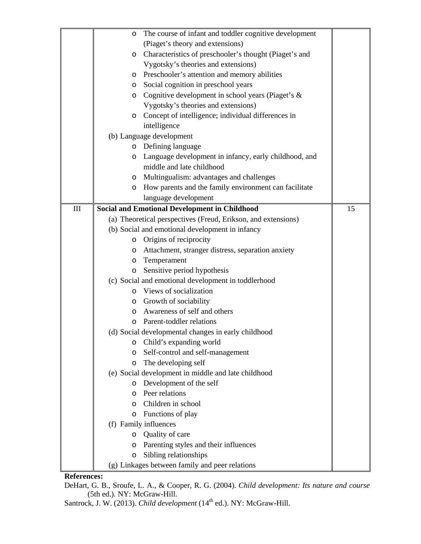|     | The course of infant and toddler cognitive development<br>O       |    |
|-----|-------------------------------------------------------------------|----|
|     | (Piaget's theory and extensions)                                  |    |
|     | Characteristics of preschooler's thought (Piaget's and<br>$\circ$ |    |
|     | Vygotsky's theories and extensions)                               |    |
|     | Preschooler's attention and memory abilities<br>$\circ$           |    |
|     | Social cognition in preschool years<br>$\circ$                    |    |
|     | Cognitive development in school years (Piaget's &<br>$\circ$      |    |
|     | Vygotsky's theories and extensions)                               |    |
|     | Concept of intelligence; individual differences in<br>$\circ$     |    |
|     | intelligence                                                      |    |
|     | (b) Language development                                          |    |
|     | o Defining language                                               |    |
|     | Language development in infancy, early childhood, and<br>O        |    |
|     | middle and late childhood                                         |    |
|     | Multingualism: advantages and challenges<br>$\circ$               |    |
|     | How parents and the family environment can facilitate<br>$\circ$  |    |
|     | language development                                              |    |
| III | <b>Social and Emotional Development in Childhood</b>              | 15 |
|     | (a) Theoretical perspectives (Freud, Erikson, and extensions)     |    |
|     | (b) Social and emotional development in infancy                   |    |
|     | Origins of reciprocity<br>$\circ$                                 |    |
|     | Attachment, stranger distress, separation anxiety<br>$\circ$      |    |
|     | Temperament<br>O                                                  |    |
|     | Sensitive period hypothesis<br>$\circ$                            |    |
|     | (c) Social and emotional development in toddlerhood               |    |
|     | Views of socialization<br>$\circ$                                 |    |
|     | Growth of sociability<br>O                                        |    |
|     | Awareness of self and others<br>$\circ$                           |    |
|     | Parent-toddler relations<br>$\Omega$                              |    |
|     | (d) Social developmental changes in early childhood               |    |
|     | Child's expanding world<br>O                                      |    |
|     | Self-control and self-management<br>O                             |    |
|     | The developing self<br>O                                          |    |
|     | (e) Social development in middle and late childhood               |    |
|     | Development of the self<br>O                                      |    |
|     | Peer relations<br>$\circ$                                         |    |
|     | Children in school<br>$\Omega$                                    |    |
|     | Functions of play<br>O                                            |    |
|     | (f) Family influences                                             |    |
|     | Quality of care<br>$\circ$                                        |    |
|     | Parenting styles and their influences<br>O                        |    |
|     | Sibling relationships<br>O                                        |    |
|     | (g) Linkages between family and peer relations                    |    |

### **References:**

DeHart, G. B., Sroufe, L. A., & Cooper, R. G. (2004). *Child development: Its nature and course* (5th ed.)*.* NY: McGraw-Hill.

Santrock, J. W. (2013). *Child development* (14<sup>th</sup> ed.). NY: McGraw-Hill.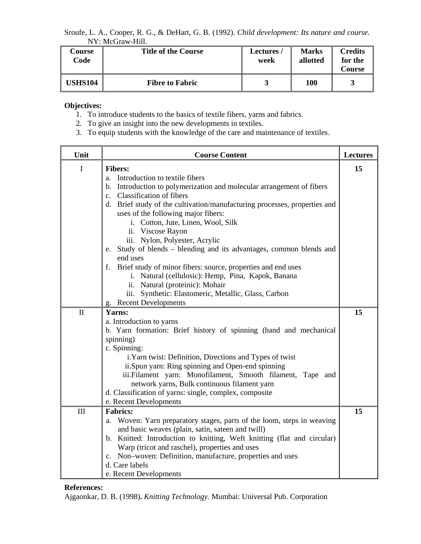Sroufe, L. A., Cooper, R. G., & DeHart, G. B. (1992). *Child development: Its nature and course.*  NY: McGraw-Hill.

| Course<br>Code | <b>Title of the Course</b> | Lectures/<br>week | <b>Marks</b><br>allotted | <b>Credits</b><br>for the<br><b>Course</b> |
|----------------|----------------------------|-------------------|--------------------------|--------------------------------------------|
| <b>USHS104</b> | <b>Fibre to Fabric</b>     |                   | 100                      |                                            |

## **Objectives:**

- 1. To introduce students to the basics of textile fibers, yarns and fabrics.
- 2. To give an insight into the new developments in textiles.
- 3. To equip students with the knowledge of the care and maintenance of textiles.

| Unit         | <b>Course Content</b>                                                                                                                                                                                                                                                                                                                                                                                                                                                                                                                                                                                                                                                                                            | <b>Lectures</b> |
|--------------|------------------------------------------------------------------------------------------------------------------------------------------------------------------------------------------------------------------------------------------------------------------------------------------------------------------------------------------------------------------------------------------------------------------------------------------------------------------------------------------------------------------------------------------------------------------------------------------------------------------------------------------------------------------------------------------------------------------|-----------------|
| I            | <b>Fibers:</b><br>Introduction to textile fibers<br>a.<br>b. Introduction to polymerization and molecular arrangement of fibers<br>c. Classification of fibers<br>d. Brief study of the cultivation/manufacturing processes, properties and<br>uses of the following major fibers:<br>i. Cotton, Jute, Linen, Wool, Silk<br>ii. Viscose Rayon<br>iii. Nylon, Polyester, Acrylic<br>e. Study of blends – blending and its advantages, common blends and<br>end uses<br>f. Brief study of minor fibers: source, properties and end uses<br>i. Natural (cellulosic): Hemp, Pina, Kapok, Banana<br>ii. Natural (proteinic): Mohair<br>iii. Synthetic: Elastomeric, Metallic, Glass, Carbon<br>g. Recent Developments | 15              |
| $\mathbf{I}$ | Yarns:<br>a. Introduction to yarns<br>b. Yarn formation: Brief history of spinning (hand and mechanical<br>spinning)<br>c. Spinning:<br>i. Yarn twist: Definition, Directions and Types of twist<br>ii.Spun yarn: Ring spinning and Open-end spinning<br>iii.Filament yarn: Monofilament, Smooth filament, Tape and<br>network yarns, Bulk continuous filament yarn<br>d. Classification of yarns: single, complex, composite<br>e. Recent Developments                                                                                                                                                                                                                                                          | 15              |
| III          | <b>Fabrics:</b><br>a. Woven: Yarn preparatory stages, parts of the loom, steps in weaving<br>and basic weaves (plain, satin, sateen and twill)<br>b. Knitted: Introduction to knitting, Weft knitting (flat and circular)<br>Warp (tricot and raschel), properties and uses<br>c. Non-woven: Definition, manufacture, properties and uses<br>d. Care labels<br>e. Recent Developments                                                                                                                                                                                                                                                                                                                            | 15              |

#### **References:**

Ajgaonkar, D. B. (1998)**.** *Knitting Technology.* Mumbai: Universal Pub. Corporation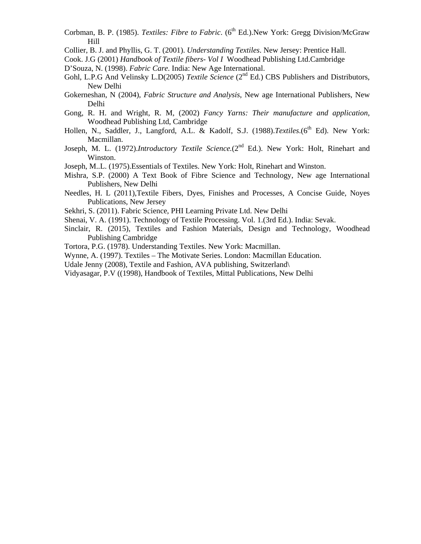- Corbman, B. P. (1985). *Textiles: Fibre to Fabric*. (6<sup>th</sup> Ed.).New York: Gregg Division/McGraw Hill
- Collier, B. J. and Phyllis, G. T. (2001). *Understanding Textiles*. New Jersey: Prentice Hall.
- Cook. J.G (2001) *Handbook of Textile fibers- Vol I* Woodhead Publishing Ltd.Cambridge
- D'Souza, N. (1998). *Fabric Care*. India: New Age International.
- Gohl, L.P.G And Velinsky L.D(2005) *Textile Science* (2<sup>nd</sup> Ed.) CBS Publishers and Distributors, New Delhi
- Gokerneshan, N (2004), *Fabric Structure and Analysis*, New age International Publishers, New Delhi
- Gong, R. H. and Wright, R. M, (2002) *Fancy Yarns: Their manufacture and application*, Woodhead Publishing Ltd, Cambridge
- Hollen, N., Saddler, J., Langford, A.L. & Kadolf, S.J. (1988). Textiles. (6<sup>th</sup> Ed). New York: Macmillan.
- Joseph, M. L. (1972).*Introductory Textile Science*.(2<sup>nd</sup> Ed.). New York: Holt, Rinehart and Winston.
- Joseph, M..L. (1975).Essentials of Textiles. New York: Holt, Rinehart and Winston.
- Mishra, S.P. (2000) A Text Book of Fibre Science and Technology, New age International Publishers, New Delhi
- Needles, H. L (2011),Textile Fibers, Dyes, Finishes and Processes, A Concise Guide, Noyes Publications, New Jersey
- Sekhri, S. (2011). Fabric Science, PHI Learning Private Ltd. New Delhi
- Shenai, V. A. (1991). Technology of Textile Processing. Vol. 1.(3rd Ed.). India: Sevak.
- Sinclair, R. (2015), Textiles and Fashion Materials, Design and Technology, Woodhead Publishing Cambridge
- Tortora, P.G. (1978). Understanding Textiles. New York: Macmillan.
- Wynne, A. (1997). Textiles The Motivate Series. London: Macmillan Education.
- Udale Jenny (2008), Textile and Fashion, AVA publishing, Switzerland
- Vidyasagar, P.V ((1998), Handbook of Textiles, Mittal Publications, New Delhi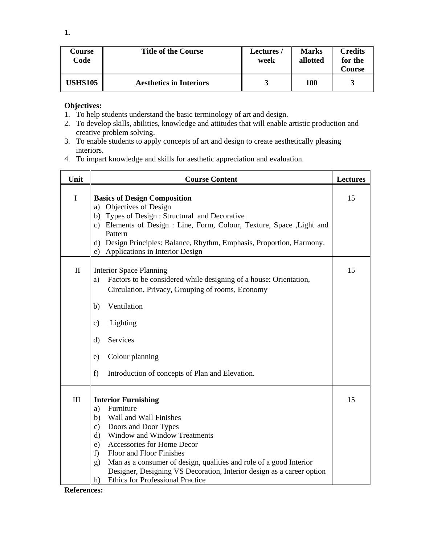| Course<br>Code | <b>Title of the Course</b>     | Lectures /<br>week | <b>Marks</b><br>allotted | <b>Credits</b><br>for the<br>Course |
|----------------|--------------------------------|--------------------|--------------------------|-------------------------------------|
| <b>USHS105</b> | <b>Aesthetics in Interiors</b> |                    | 100                      |                                     |

- 1. To help students understand the basic terminology of art and design.
- 2. To develop skills, abilities, knowledge and attitudes that will enable artistic production and creative problem solving.
- 3. To enable students to apply concepts of art and design to create aesthetically pleasing interiors.
- 4. To impart knowledge and skills for aesthetic appreciation and evaluation.

| Unit         | <b>Course Content</b>                                                                                                                                                                                                                                                                                                                                                                                                                         | <b>Lectures</b> |
|--------------|-----------------------------------------------------------------------------------------------------------------------------------------------------------------------------------------------------------------------------------------------------------------------------------------------------------------------------------------------------------------------------------------------------------------------------------------------|-----------------|
| $\mathbf I$  | <b>Basics of Design Composition</b><br>a) Objectives of Design<br>Types of Design: Structural and Decorative<br>b)<br>c) Elements of Design : Line, Form, Colour, Texture, Space , Light and<br>Pattern<br>Design Principles: Balance, Rhythm, Emphasis, Proportion, Harmony.<br>d)<br>Applications in Interior Design<br>e)                                                                                                                  | 15              |
| $\mathbf{I}$ | <b>Interior Space Planning</b><br>Factors to be considered while designing of a house: Orientation,<br>a)<br>Circulation, Privacy, Grouping of rooms, Economy<br>Ventilation<br>b)<br>Lighting<br>$\mathbf{c})$<br>Services<br>$\rm d$<br>Colour planning<br>e)<br>f)<br>Introduction of concepts of Plan and Elevation.                                                                                                                      | 15              |
| III          | <b>Interior Furnishing</b><br>Furniture<br>a)<br>Wall and Wall Finishes<br>b)<br>Doors and Door Types<br>$\mathbf{c})$<br>Window and Window Treatments<br>$\rm d$<br>Accessories for Home Decor<br>e)<br>Floor and Floor Finishes<br>f)<br>Man as a consumer of design, qualities and role of a good Interior<br>g)<br>Designer, Designing VS Decoration, Interior design as a career option<br><b>Ethics for Professional Practice</b><br>h) | 15              |

**References:**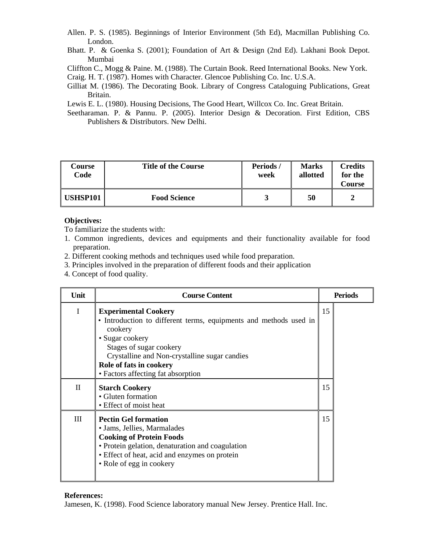- Allen. P. S. (1985). Beginnings of Interior Environment (5th Ed), Macmillan Publishing Co. London.
- Bhatt. P. & Goenka S. (2001); Foundation of Art & Design (2nd Ed). Lakhani Book Depot. Mumbai

Cliffton C., Mogg & Paine. M. (1988). The Curtain Book. Reed International Books. New York.

Craig. H. T. (1987). Homes with Character. Glencoe Publishing Co. Inc. U.S.A.

Gilliat M. (1986). The Decorating Book. Library of Congress Cataloguing Publications, Great Britain.

Lewis E. L. (1980). Housing Decisions, The Good Heart, Willcox Co. Inc. Great Britain.

Seetharaman. P. & Pannu. P. (2005). Interior Design & Decoration. First Edition, CBS Publishers & Distributors. New Delhi.

| Course<br>Code  | <b>Title of the Course</b> | Periods<br>week | <b>Marks</b><br>allotted | <b>Credits</b><br>for the<br>Course |
|-----------------|----------------------------|-----------------|--------------------------|-------------------------------------|
| <b>USHSP101</b> | <b>Food Science</b>        |                 | 50                       |                                     |

## **Objectives:**

To familiarize the students with:

- 1. Common ingredients, devices and equipments and their functionality available for food preparation.
- 2. Different cooking methods and techniques used while food preparation.
- 3. Principles involved in the preparation of different foods and their application
- 4. Concept of food quality.

| Unit         | <b>Course Content</b>                                                                                                                                                                                                                                                       |    | <b>Periods</b> |
|--------------|-----------------------------------------------------------------------------------------------------------------------------------------------------------------------------------------------------------------------------------------------------------------------------|----|----------------|
| $\mathbf I$  | <b>Experimental Cookery</b><br>• Introduction to different terms, equipments and methods used in<br>cookery<br>· Sugar cookery<br>Stages of sugar cookery<br>Crystalline and Non-crystalline sugar candies<br>Role of fats in cookery<br>• Factors affecting fat absorption | 15 |                |
| $\mathbf{I}$ | <b>Starch Cookery</b><br>• Gluten formation<br>• Effect of moist heat                                                                                                                                                                                                       | 15 |                |
| III          | <b>Pectin Gel formation</b><br>• Jams, Jellies, Marmalades<br><b>Cooking of Protein Foods</b><br>• Protein gelation, denaturation and coagulation<br>• Effect of heat, acid and enzymes on protein<br>• Role of egg in cookery                                              | 15 |                |

#### **References:**

Jamesen, K. (1998). Food Science laboratory manual New Jersey. Prentice Hall. Inc.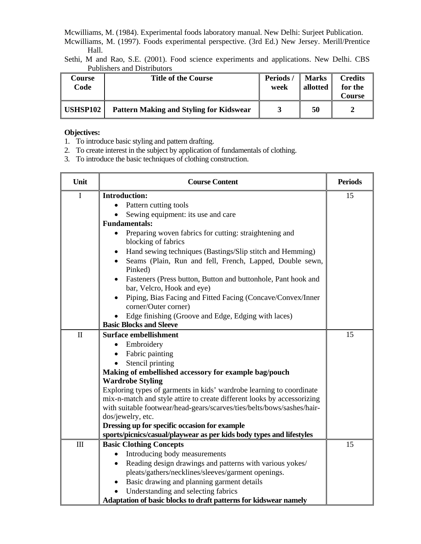Mcwilliams, M. (1984). Experimental foods laboratory manual. New Delhi: Surjeet Publication.

Mcwilliams, M. (1997). Foods experimental perspective. (3rd Ed.) New Jersey. Merill/Prentice Hall.

Sethi, M and Rao, S.E. (2001). Food science experiments and applications. New Delhi. CBS Publishers and Distributors

| Course<br>Code | <b>Title of the Course</b>                     | Periods/<br>week | <b>Marks</b><br>allotted | <b>Credits</b><br>for the<br>Course |
|----------------|------------------------------------------------|------------------|--------------------------|-------------------------------------|
| USHSP102       | <b>Pattern Making and Styling for Kidswear</b> |                  | 50                       | 2                                   |

## **Objectives:**

- 1. To introduce basic styling and pattern drafting.
- 2. To create interest in the subject by application of fundamentals of clothing.
- 3. To introduce the basic techniques of clothing construction.

| Unit  | <b>Course Content</b>                                                                       | <b>Periods</b> |
|-------|---------------------------------------------------------------------------------------------|----------------|
| I     | <b>Introduction:</b>                                                                        | 15             |
|       | Pattern cutting tools                                                                       |                |
|       | Sewing equipment: its use and care                                                          |                |
|       | <b>Fundamentals:</b>                                                                        |                |
|       | Preparing woven fabrics for cutting: straightening and<br>$\bullet$<br>blocking of fabrics  |                |
|       | Hand sewing techniques (Bastings/Slip stitch and Hemming)                                   |                |
|       | Seams (Plain, Run and fell, French, Lapped, Double sewn,<br>Pinked)                         |                |
|       | Fasteners (Press button, Button and buttonhole, Pant hook and<br>bar, Velcro, Hook and eye) |                |
|       | Piping, Bias Facing and Fitted Facing (Concave/Convex/Inner<br>corner/Outer corner)         |                |
|       | Edge finishing (Groove and Edge, Edging with laces)                                         |                |
|       | <b>Basic Blocks and Sleeve</b>                                                              |                |
| $\Pi$ | <b>Surface embellishment</b>                                                                | 15             |
|       | Embroidery<br>$\bullet$                                                                     |                |
|       | Fabric painting                                                                             |                |
|       | Stencil printing                                                                            |                |
|       | Making of embellished accessory for example bag/pouch                                       |                |
|       | <b>Wardrobe Styling</b>                                                                     |                |
|       | Exploring types of garments in kids' wardrobe learning to coordinate                        |                |
|       | mix-n-match and style attire to create different looks by accessorizing                     |                |
|       | with suitable footwear/head-gears/scarves/ties/belts/bows/sashes/hair-                      |                |
|       | dos/jewelry, etc.                                                                           |                |
|       | Dressing up for specific occasion for example                                               |                |
|       | sports/picnics/casual/playwear as per kids body types and lifestyles                        |                |
| III   | <b>Basic Clothing Concepts</b>                                                              | 15             |
|       | Introducing body measurements                                                               |                |
|       | Reading design drawings and patterns with various yokes/                                    |                |
|       | pleats/gathers/necklines/sleeves/garment openings.                                          |                |
|       | Basic drawing and planning garment details<br>$\bullet$                                     |                |
|       | Understanding and selecting fabrics                                                         |                |
|       | Adaptation of basic blocks to draft patterns for kidswear namely                            |                |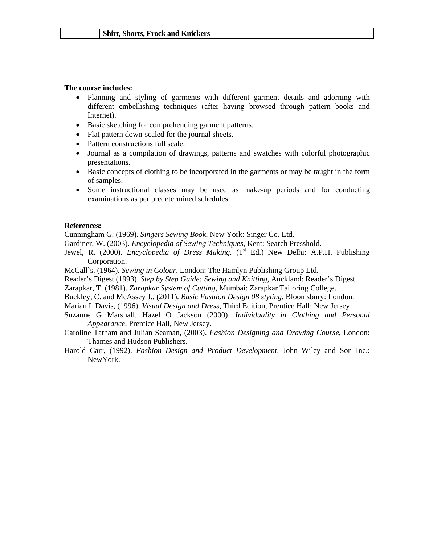#### **The course includes:**

- Planning and styling of garments with different garment details and adorning with different embellishing techniques (after having browsed through pattern books and Internet).
- Basic sketching for comprehending garment patterns.
- Flat pattern down-scaled for the journal sheets.
- Pattern constructions full scale.
- Journal as a compilation of drawings, patterns and swatches with colorful photographic presentations.
- Basic concepts of clothing to be incorporated in the garments or may be taught in the form of samples.
- Some instructional classes may be used as make-up periods and for conducting examinations as per predetermined schedules.

#### **References:**

Cunningham G. (1969). *Singers Sewing Book*, New York: Singer Co. Ltd.

- Gardiner, W. (2003). *Encyclopedia of Sewing Techniques*, Kent: Search Presshold.
- Jewel, R. (2000). *Encyclopedia of Dress Making.* (1<sup>st</sup> Ed.) New Delhi: A.P.H. Publishing Corporation.
- McCall`s. (1964). *Sewing in Colour*. London: The Hamlyn Publishing Group Ltd.
- Reader's Digest (1993). *Step by Step Guide: Sewing and Knitting*, Auckland: Reader's Digest.
- Zarapkar, T. (1981). *Zarapkar System of Cutting*, Mumbai: Zarapkar Tailoring College.
- Buckley, C. and McAssey J., (2011). *Basic Fashion Design 08 styling,* Bloomsbury: London.
- Marian L Davis, (1996). *Visual Design and Dress*, Third Edition, Prentice Hall: New Jersey.
- Suzanne G Marshall, Hazel O Jackson (2000). *Individuality in Clothing and Personal Appearance*, Prentice Hall, New Jersey.
- Caroline Tatham and Julian Seaman, (2003). *Fashion Designing and Drawing Course*, London: Thames and Hudson Publishers.
- Harold Carr, (1992). *Fashion Design and Product Development,* John Wiley and Son Inc.: NewYork.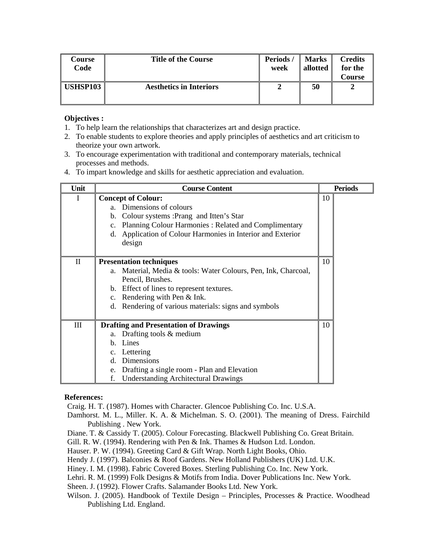| Course<br>Code  | <b>Title of the Course</b>     | Periods/<br>week | <b>Marks</b><br>allotted | <b>Credits</b><br>for the<br>Course |
|-----------------|--------------------------------|------------------|--------------------------|-------------------------------------|
| <b>USHSP103</b> | <b>Aesthetics in Interiors</b> |                  | 50                       |                                     |

- 1. To help learn the relationships that characterizes art and design practice.
- 2. To enable students to explore theories and apply principles of aesthetics and art criticism to theorize your own artwork.
- 3. To encourage experimentation with traditional and contemporary materials, technical processes and methods.
- 4. To impart knowledge and skills for aesthetic appreciation and evaluation.

| Unit        | <b>Course Content</b>                                                                                                                                                                                                                                                             | <b>Periods</b> |
|-------------|-----------------------------------------------------------------------------------------------------------------------------------------------------------------------------------------------------------------------------------------------------------------------------------|----------------|
| I           | <b>Concept of Colour:</b><br>Dimensions of colours<br>$a_{-}$<br>Colour systems : Prang and Itten's Star<br>$\mathbf b$ .<br>Planning Colour Harmonies: Related and Complimentary<br>$\mathbf{c}$ .<br>Application of Colour Harmonies in Interior and Exterior<br>d.<br>design   | 10             |
| $_{\rm II}$ | <b>Presentation techniques</b><br>Material, Media & tools: Water Colours, Pen, Ink, Charcoal,<br>a.<br>Pencil, Brushes.<br>Effect of lines to represent textures.<br>b.<br>Rendering with Pen & Ink.<br>$\mathbf{c}$ .<br>Rendering of various materials: signs and symbols<br>d. | 10             |
| III         | <b>Drafting and Presentation of Drawings</b><br>Drafting tools & medium<br>a.<br>Lines<br>$\mathbf{b}$ .<br>Lettering<br>$c_{\cdot}$<br>Dimensions<br>d.<br>Drafting a single room - Plan and Elevation<br>e.<br>f.<br><b>Understanding Architectural Drawings</b>                | 10             |

#### **References:**

Craig. H. T. (1987). Homes with Character. Glencoe Publishing Co. Inc. U.S.A.

- Damhorst. M. L., Miller. K. A. & Michelman. S. O. (2001). The meaning of Dress. Fairchild Publishing . New York.
- Diane. T. & Cassidy T. (2005). Colour Forecasting. Blackwell Publishing Co. Great Britain.
- Gill. R. W. (1994). Rendering with Pen & Ink. Thames & Hudson Ltd. London.
- Hauser. P. W. (1994). Greeting Card & Gift Wrap. North Light Books, Ohio.
- Hendy J. (1997). Balconies & Roof Gardens. New Holland Publishers (UK) Ltd. U.K.
- Hiney. I. M. (1998). Fabric Covered Boxes. Sterling Publishing Co. Inc. New York.
- Lehri. R. M. (1999) Folk Designs & Motifs from India. Dover Publications Inc. New York.

Sheen. J. (1992). Flower Crafts. Salamander Books Ltd. New York.

Wilson. J. (2005). Handbook of Textile Design – Principles, Processes & Practice. Woodhead Publishing Ltd. England.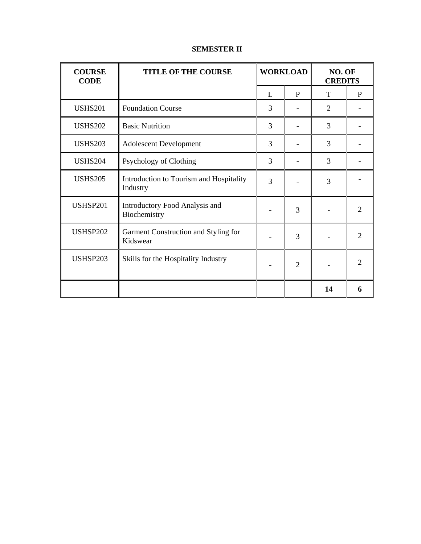# **SEMESTER II**

| <b>COURSE</b><br><b>CODE</b> | <b>TITLE OF THE COURSE</b>                          | <b>WORKLOAD</b> |                | NO. OF<br><b>CREDITS</b> |                             |
|------------------------------|-----------------------------------------------------|-----------------|----------------|--------------------------|-----------------------------|
|                              |                                                     | L               | P              | T                        | $\mathbf{P}$                |
| <b>USHS201</b>               | <b>Foundation Course</b>                            | 3               |                | $\overline{2}$           |                             |
| <b>USHS202</b>               | <b>Basic Nutrition</b>                              | 3               |                | 3                        |                             |
| <b>USHS203</b>               | <b>Adolescent Development</b>                       | 3               |                | 3                        |                             |
| <b>USHS204</b>               | Psychology of Clothing                              | 3               |                | 3                        |                             |
| <b>USHS205</b>               | Introduction to Tourism and Hospitality<br>Industry | 3               |                | 3                        |                             |
| USHSP201                     | Introductory Food Analysis and<br>Biochemistry      |                 | 3              |                          | $\mathcal{D}_{\mathcal{L}}$ |
| <b>USHSP202</b>              | Garment Construction and Styling for<br>Kidswear    |                 | 3              |                          | $\overline{2}$              |
| USHSP203                     | Skills for the Hospitality Industry                 |                 | $\overline{2}$ |                          | $\mathcal{D}_{\mathcal{L}}$ |
|                              |                                                     |                 |                | 14                       | 6                           |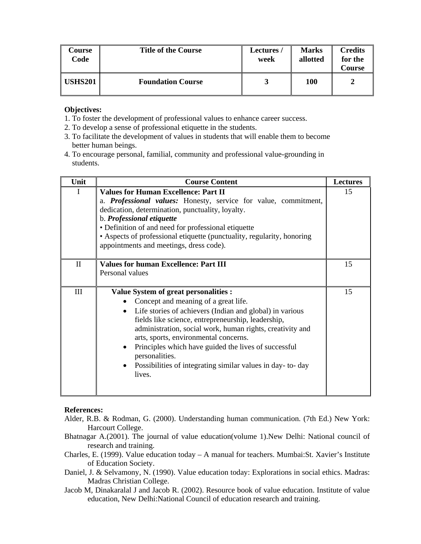| Course<br>Code | <b>Title of the Course</b> | <b>Lectures /</b><br>week | <b>Marks</b><br>allotted | <b>Credits</b><br>for the<br>Course |
|----------------|----------------------------|---------------------------|--------------------------|-------------------------------------|
| <b>USHS201</b> | <b>Foundation Course</b>   |                           | 100                      | 2                                   |

- 1. To foster the development of professional values to enhance career success.
- 2. To develop a sense of professional etiquette in the students.
- 3. To facilitate the development of values in students that will enable them to become better human beings.
- 4. To encourage personal, familial, community and professional value-grounding in students.

| Unit         | <b>Course Content</b>                                                                                                                                                                                                                                                                                                                                                                                                                                                                     | <b>Lectures</b> |
|--------------|-------------------------------------------------------------------------------------------------------------------------------------------------------------------------------------------------------------------------------------------------------------------------------------------------------------------------------------------------------------------------------------------------------------------------------------------------------------------------------------------|-----------------|
| 1            | <b>Values for Human Excellence: Part II</b><br>a. Professional values: Honesty, service for value, commitment,<br>dedication, determination, punctuality, loyalty.<br>b. Professional etiquette<br>• Definition of and need for professional etiquette<br>• Aspects of professional etiquette (punctuality, regularity, honoring<br>appointments and meetings, dress code).                                                                                                               | 15              |
| $\mathbf{I}$ | <b>Values for human Excellence: Part III</b><br>Personal values                                                                                                                                                                                                                                                                                                                                                                                                                           | 15              |
| III          | <b>Value System of great personalities :</b><br>Concept and meaning of a great life.<br>• Life stories of achievers (Indian and global) in various<br>fields like science, entrepreneurship, leadership,<br>administration, social work, human rights, creativity and<br>arts, sports, environmental concerns.<br>Principles which have guided the lives of successful<br>$\bullet$<br>personalities.<br>Possibilities of integrating similar values in day-to-day<br>$\bullet$<br>lives. | 15              |

#### **References:**

- Alder, R.B. & Rodman, G. (2000). Understanding human communication. (7th Ed.) New York: Harcourt College.
- Bhatnagar A.(2001). The journal of value education(volume 1).New Delhi: National council of research and training.
- Charles, E. (1999). Value education today A manual for teachers. Mumbai:St. Xavier's Institute of Education Society.
- Daniel, J. & Selvamony, N. (1990). Value education today: Explorations in social ethics. Madras: Madras Christian College.
- Jacob M, Dinakaralal J and Jacob R. (2002). Resource book of value education. Institute of value education, New Delhi:National Council of education research and training.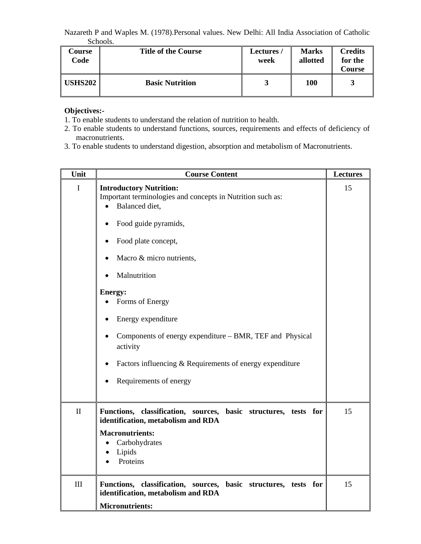Nazareth P and Waples M. (1978).Personal values. New Delhi: All India Association of Catholic Schools.

| Course<br>Code | <b>Title of the Course</b> | <b>Lectures</b><br>week | <b>Marks</b><br>allotted | <b>Credits</b><br>for the<br>Course |
|----------------|----------------------------|-------------------------|--------------------------|-------------------------------------|
| <b>USHS202</b> | <b>Basic Nutrition</b>     |                         | 100                      | 3                                   |

# **Objectives:-**

- 1. To enable students to understand the relation of nutrition to health.
- 2. To enable students to understand functions, sources, requirements and effects of deficiency of macronutrients.
- 3. To enable students to understand digestion, absorption and metabolism of Macronutrients.

| Unit         | <b>Course Content</b>                                                                                                                                                                                                                                                                                                                                                                                                              | <b>Lectures</b> |
|--------------|------------------------------------------------------------------------------------------------------------------------------------------------------------------------------------------------------------------------------------------------------------------------------------------------------------------------------------------------------------------------------------------------------------------------------------|-----------------|
| $\mathbf I$  | <b>Introductory Nutrition:</b><br>Important terminologies and concepts in Nutrition such as:<br>Balanced diet,<br>Food guide pyramids,<br>Food plate concept,<br>Macro & micro nutrients,<br>Malnutrition<br><b>Energy:</b><br>Forms of Energy<br>Energy expenditure<br>Components of energy expenditure – BMR, TEF and Physical<br>activity<br>Factors influencing & Requirements of energy expenditure<br>Requirements of energy | 15              |
| $\mathbf{I}$ | Functions, classification, sources, basic structures, tests for<br>identification, metabolism and RDA<br><b>Macronutrients:</b><br>Carbohydrates<br>Lipids<br>Proteins                                                                                                                                                                                                                                                             | 15              |
| III          | Functions, classification, sources, basic structures, tests for<br>identification, metabolism and RDA<br><b>Micronutrients:</b>                                                                                                                                                                                                                                                                                                    | 15              |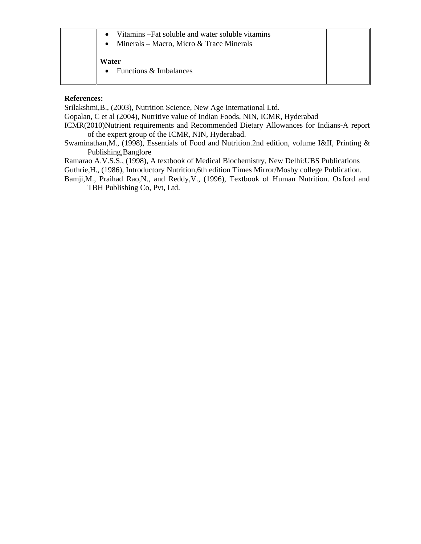|  | • Vitamins – Fat soluble and water soluble vitamins |  |
|--|-----------------------------------------------------|--|
|  | Minerals – Macro, Micro & Trace Minerals            |  |
|  |                                                     |  |

**Water** 

• Functions & Imbalances

## **References:**

Srilakshmi,B., (2003), Nutrition Science, New Age International Ltd.

Gopalan, C et al (2004), Nutritive value of Indian Foods, NIN, ICMR, Hyderabad

- ICMR(2010)Nutrient requirements and Recommended Dietary Allowances for Indians-A report of the expert group of the ICMR, NIN, Hyderabad.
- Swaminathan,M., (1998), Essentials of Food and Nutrition.2nd edition, volume I&II, Printing & Publishing,Banglore

Ramarao A.V.S.S., (1998), A textbook of Medical Biochemistry, New Delhi:UBS Publications

Guthrie,H., (1986), Introductory Nutrition,6th edition Times Mirror/Mosby college Publication.

Bamji,M., Praihad Rao,N., and Reddy,V., (1996), Textbook of Human Nutrition. Oxford and TBH Publishing Co, Pvt, Ltd.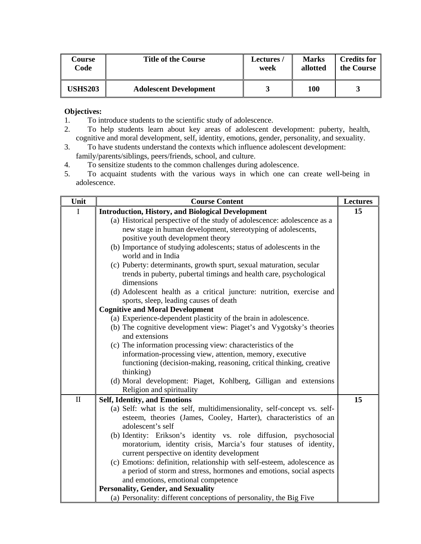| Course         | <b>Title of the Course</b>    | <b>Lectures</b> | <b>Marks</b> | <b>Credits for</b> |
|----------------|-------------------------------|-----------------|--------------|--------------------|
| Code           |                               | week            | allotted     | the Course         |
| <b>USHS203</b> | <b>Adolescent Development</b> |                 | <b>100</b>   |                    |

- 1. To introduce students to the scientific study of adolescence.
- 2. To help students learn about key areas of adolescent development: puberty, health, cognitive and moral development, self, identity, emotions, gender, personality, and sexuality.
- 3. To have students understand the contexts which influence adolescent development: family/parents/siblings, peers/friends, school, and culture.
- 4. To sensitize students to the common challenges during adolescence.
- 5. To acquaint students with the various ways in which one can create well-being in adolescence.

| Unit         | <b>Course Content</b>                                                                                           | <b>Lectures</b> |
|--------------|-----------------------------------------------------------------------------------------------------------------|-----------------|
| $\mathbf I$  | <b>Introduction, History, and Biological Development</b>                                                        | 15              |
|              | (a) Historical perspective of the study of adolescence: adolescence as a                                        |                 |
|              | new stage in human development, stereotyping of adolescents,                                                    |                 |
|              | positive youth development theory                                                                               |                 |
|              | (b) Importance of studying adolescents; status of adolescents in the<br>world and in India                      |                 |
|              | (c) Puberty: determinants, growth spurt, sexual maturation, secular                                             |                 |
|              | trends in puberty, pubertal timings and health care, psychological<br>dimensions                                |                 |
|              | (d) Adolescent health as a critical juncture: nutrition, exercise and<br>sports, sleep, leading causes of death |                 |
|              | <b>Cognitive and Moral Development</b>                                                                          |                 |
|              | (a) Experience-dependent plasticity of the brain in adolescence.                                                |                 |
|              | (b) The cognitive development view: Piaget's and Vygotsky's theories                                            |                 |
|              | and extensions                                                                                                  |                 |
|              | (c) The information processing view: characteristics of the                                                     |                 |
|              | information-processing view, attention, memory, executive                                                       |                 |
|              | functioning (decision-making, reasoning, critical thinking, creative<br>thinking)                               |                 |
|              | (d) Moral development: Piaget, Kohlberg, Gilligan and extensions                                                |                 |
|              | Religion and spirituality                                                                                       |                 |
| $\mathbf{I}$ | <b>Self, Identity, and Emotions</b>                                                                             | 15              |
|              | (a) Self: what is the self, multidimensionality, self-concept vs. self-                                         |                 |
|              | esteem, theories (James, Cooley, Harter), characteristics of an                                                 |                 |
|              | adolescent's self                                                                                               |                 |
|              | (b) Identity: Erikson's identity vs. role diffusion, psychosocial                                               |                 |
|              | moratorium, identity crisis, Marcia's four statuses of identity,                                                |                 |
|              | current perspective on identity development                                                                     |                 |
|              | (c) Emotions: definition, relationship with self-esteem, adolescence as                                         |                 |
|              | a period of storm and stress, hormones and emotions, social aspects                                             |                 |
|              | and emotions, emotional competence<br><b>Personality, Gender, and Sexuality</b>                                 |                 |
|              | (a) Personality: different conceptions of personality, the Big Five                                             |                 |
|              |                                                                                                                 |                 |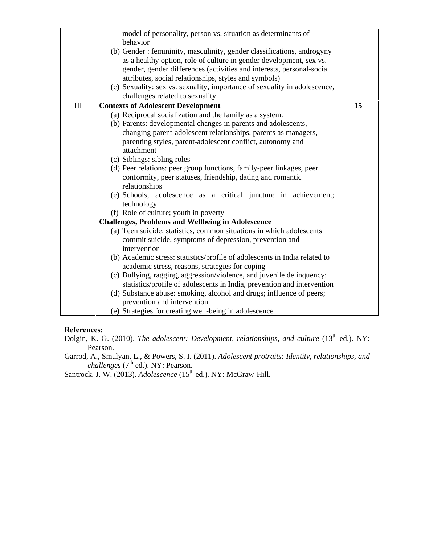| model of personality, person vs. situation as determinants of<br>behavior<br>(b) Gender: femininity, masculinity, gender classifications, androgyny<br>as a healthy option, role of culture in gender development, sex vs.<br>gender, gender differences (activities and interests, personal-social<br>attributes, social relationships, styles and symbols)<br>(c) Sexuality: sex vs. sexuality, importance of sexuality in adolescence,<br>challenges related to sexuality                                                                                                                                                                                                                                                                                                                                                                                                                                                                                                                                                                                                                                                                                                                                                                                                                                    |    |
|-----------------------------------------------------------------------------------------------------------------------------------------------------------------------------------------------------------------------------------------------------------------------------------------------------------------------------------------------------------------------------------------------------------------------------------------------------------------------------------------------------------------------------------------------------------------------------------------------------------------------------------------------------------------------------------------------------------------------------------------------------------------------------------------------------------------------------------------------------------------------------------------------------------------------------------------------------------------------------------------------------------------------------------------------------------------------------------------------------------------------------------------------------------------------------------------------------------------------------------------------------------------------------------------------------------------|----|
| III<br><b>Contexts of Adolescent Development</b><br>(a) Reciprocal socialization and the family as a system.<br>(b) Parents: developmental changes in parents and adolescents,<br>changing parent-adolescent relationships, parents as managers,<br>parenting styles, parent-adolescent conflict, autonomy and<br>attachment<br>(c) Siblings: sibling roles<br>(d) Peer relations: peer group functions, family-peer linkages, peer<br>conformity, peer statuses, friendship, dating and romantic<br>relationships<br>(e) Schools; adolescence as a critical juncture in achievement;<br>technology<br>(f) Role of culture; youth in poverty<br><b>Challenges, Problems and Wellbeing in Adolescence</b><br>(a) Teen suicide: statistics, common situations in which adolescents<br>commit suicide, symptoms of depression, prevention and<br>intervention<br>(b) Academic stress: statistics/profile of adolescents in India related to<br>academic stress, reasons, strategies for coping<br>(c) Bullying, ragging, aggression/violence, and juvenile delinquency:<br>statistics/profile of adolescents in India, prevention and intervention<br>(d) Substance abuse: smoking, alcohol and drugs; influence of peers;<br>prevention and intervention<br>(e) Strategies for creating well-being in adolescence | 15 |

#### **References:**

Dolgin, K. G. (2010). *The adolescent: Development, relationships, and culture* (13<sup>th</sup> ed.). NY: Pearson.

Garrod, A., Smulyan, L., & Powers, S. I. (2011). *Adolescent protraits: Identity, relationships, and challenges* (7<sup>th</sup> ed.). NY: Pearson.

Santrock, J. W. (2013). *Adolescence* (15<sup>th</sup> ed.). NY: McGraw-Hill.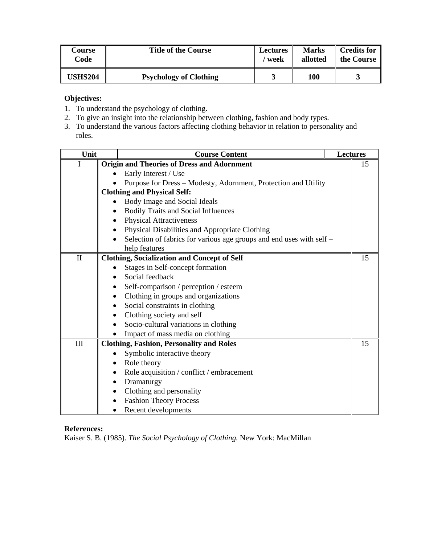| Course         | <b>Title of the Course</b>    | <b>Lectures</b> | <b>Marks</b> | Credits for |
|----------------|-------------------------------|-----------------|--------------|-------------|
| Code           |                               | ′ week          | allotted     | the Course  |
| <b>USHS204</b> | <b>Psychology of Clothing</b> |                 | <b>100</b>   |             |

- 1. To understand the psychology of clothing.
- 2. To give an insight into the relationship between clothing, fashion and body types.
- 3. To understand the various factors affecting clothing behavior in relation to personality and roles.

| Unit           |           | <b>Course Content</b>                                                | <b>Lectures</b> |
|----------------|-----------|----------------------------------------------------------------------|-----------------|
| $\overline{I}$ |           | <b>Origin and Theories of Dress and Adornment</b>                    | 15              |
|                |           | Early Interest / Use                                                 |                 |
|                |           | Purpose for Dress - Modesty, Adornment, Protection and Utility       |                 |
|                |           | <b>Clothing and Physical Self:</b>                                   |                 |
|                |           | Body Image and Social Ideals                                         |                 |
|                |           | <b>Bodily Traits and Social Influences</b>                           |                 |
|                |           | <b>Physical Attractiveness</b>                                       |                 |
|                |           | Physical Disabilities and Appropriate Clothing                       |                 |
|                |           | Selection of fabrics for various age groups and end uses with self - |                 |
|                |           | help features                                                        |                 |
| $\mathbf{I}$   |           | <b>Clothing, Socialization and Concept of Self</b>                   | 15              |
|                |           | Stages in Self-concept formation                                     |                 |
|                |           | Social feedback                                                      |                 |
|                |           | Self-comparison / perception / esteem                                |                 |
|                |           | Clothing in groups and organizations                                 |                 |
|                |           | Social constraints in clothing                                       |                 |
|                |           | Clothing society and self                                            |                 |
|                |           | Socio-cultural variations in clothing                                |                 |
|                |           | Impact of mass media on clothing                                     |                 |
| III            |           | <b>Clothing, Fashion, Personality and Roles</b>                      | 15              |
|                |           | Symbolic interactive theory                                          |                 |
|                |           | Role theory                                                          |                 |
|                |           | Role acquisition / conflict / embracement                            |                 |
|                | $\bullet$ | Dramaturgy                                                           |                 |
|                |           | Clothing and personality                                             |                 |
|                |           | <b>Fashion Theory Process</b>                                        |                 |
|                | $\bullet$ | Recent developments                                                  |                 |

# **References:**

Kaiser S. B. (1985). *The Social Psychology of Clothing.* New York: MacMillan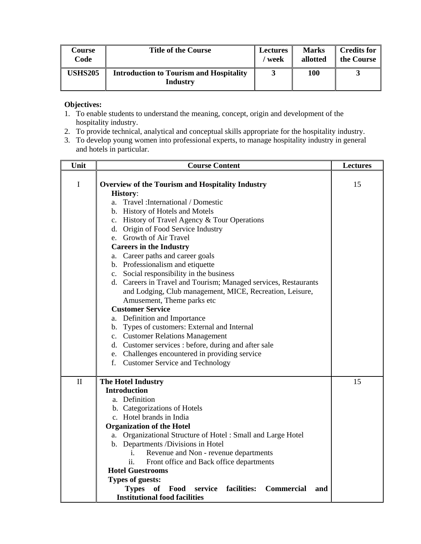| Course         | <b>Title of the Course</b>                                        | <b>Lectures</b> | <b>Marks</b> | <b>Credits for</b> |
|----------------|-------------------------------------------------------------------|-----------------|--------------|--------------------|
| Code           |                                                                   | / week          | allotted     | the Course         |
| <b>USHS205</b> | <b>Introduction to Tourism and Hospitality</b><br><b>Industry</b> |                 | <b>100</b>   |                    |

- 1. To enable students to understand the meaning, concept, origin and development of the hospitality industry.
- 2. To provide technical, analytical and conceptual skills appropriate for the hospitality industry.
- 3. To develop young women into professional experts, to manage hospitality industry in general and hotels in particular.

| Unit         | <b>Course Content</b>                                                                       | <b>Lectures</b> |
|--------------|---------------------------------------------------------------------------------------------|-----------------|
| $\mathbf I$  | <b>Overview of the Tourism and Hospitality Industry</b><br><b>History:</b>                  | 15              |
|              | Travel : International / Domestic<br>a.                                                     |                 |
|              | b. History of Hotels and Motels                                                             |                 |
|              | c. History of Travel Agency & Tour Operations                                               |                 |
|              | d. Origin of Food Service Industry                                                          |                 |
|              | e. Growth of Air Travel                                                                     |                 |
|              | <b>Careers in the Industry</b>                                                              |                 |
|              | a. Career paths and career goals                                                            |                 |
|              | b. Professionalism and etiquette                                                            |                 |
|              | c. Social responsibility in the business                                                    |                 |
|              | d. Careers in Travel and Tourism; Managed services, Restaurants                             |                 |
|              | and Lodging, Club management, MICE, Recreation, Leisure,                                    |                 |
|              | Amusement, Theme parks etc                                                                  |                 |
|              | <b>Customer Service</b>                                                                     |                 |
|              | a. Definition and Importance                                                                |                 |
|              | b. Types of customers: External and Internal                                                |                 |
|              | c. Customer Relations Management                                                            |                 |
|              | d. Customer services : before, during and after sale                                        |                 |
|              | e. Challenges encountered in providing service                                              |                 |
|              | f.<br><b>Customer Service and Technology</b>                                                |                 |
|              |                                                                                             |                 |
| $\mathbf{I}$ | <b>The Hotel Industry</b><br><b>Introduction</b>                                            | 15              |
|              | a. Definition                                                                               |                 |
|              | b. Categorizations of Hotels                                                                |                 |
|              | c. Hotel brands in India                                                                    |                 |
|              | <b>Organization of the Hotel</b>                                                            |                 |
|              | Organizational Structure of Hotel: Small and Large Hotel<br>a.                              |                 |
|              | b. Departments /Divisions in Hotel                                                          |                 |
|              | i.<br>Revenue and Non - revenue departments                                                 |                 |
|              | ii.<br>Front office and Back office departments                                             |                 |
|              | <b>Hotel Guestrooms</b>                                                                     |                 |
|              | <b>Types of guests:</b>                                                                     |                 |
|              | <b>Types</b><br>service<br><sub>of</sub><br>Food<br>facilities:<br><b>Commercial</b><br>and |                 |
|              | <b>Institutional food facilities</b>                                                        |                 |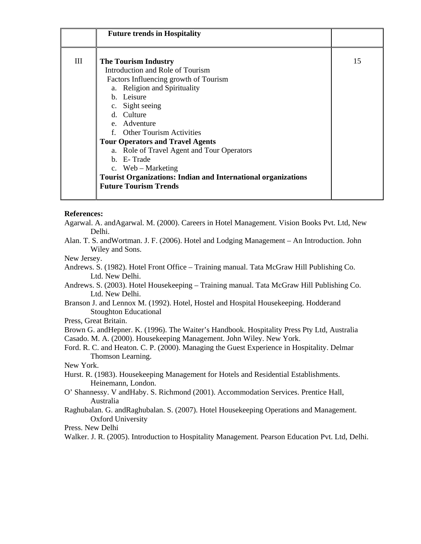|   | <b>Future trends in Hospitality</b>                                                                                                                                                                                                                                                                                                                                                                                                         |    |
|---|---------------------------------------------------------------------------------------------------------------------------------------------------------------------------------------------------------------------------------------------------------------------------------------------------------------------------------------------------------------------------------------------------------------------------------------------|----|
| Ш | <b>The Tourism Industry</b><br>Introduction and Role of Tourism<br>Factors Influencing growth of Tourism<br>a. Religion and Spirituality<br>b. Leisure<br>c. Sight seeing<br>d. Culture<br>e. Adventure<br>f. Other Tourism Activities<br><b>Tour Operators and Travel Agents</b><br>a. Role of Travel Agent and Tour Operators<br>b. E-Trade<br>c. Web – Marketing<br><b>Tourist Organizations: Indian and International organizations</b> | 15 |
|   | <b>Future Tourism Trends</b>                                                                                                                                                                                                                                                                                                                                                                                                                |    |

#### **References:**

Agarwal. A. andAgarwal. M. (2000). Careers in Hotel Management. Vision Books Pvt. Ltd, New Delhi.

- Alan. T. S. andWortman. J. F. (2006). Hotel and Lodging Management An Introduction. John Wiley and Sons.
- New Jersey.
- Andrews. S. (1982). Hotel Front Office Training manual. Tata McGraw Hill Publishing Co. Ltd. New Delhi.
- Andrews. S. (2003). Hotel Housekeeping Training manual. Tata McGraw Hill Publishing Co. Ltd. New Delhi.
- Branson J. and Lennox M. (1992). Hotel, Hostel and Hospital Housekeeping. Hodderand Stoughton Educational
- Press, Great Britain.

Brown G. andHepner. K. (1996). The Waiter's Handbook. Hospitality Press Pty Ltd, Australia Casado. M. A. (2000). Housekeeping Management. John Wiley. New York.

Ford. R. C. and Heaton. C. P. (2000). Managing the Guest Experience in Hospitality. Delmar Thomson Learning.

New York.

- Hurst. R. (1983). Housekeeping Management for Hotels and Residential Establishments. Heinemann, London.
- O' Shannessy. V andHaby. S. Richmond (2001). Accommodation Services. Prentice Hall, Australia
- Raghubalan. G. andRaghubalan. S. (2007). Hotel Housekeeping Operations and Management. Oxford University

Press. New Delhi

Walker. J. R. (2005). Introduction to Hospitality Management. Pearson Education Pvt. Ltd, Delhi.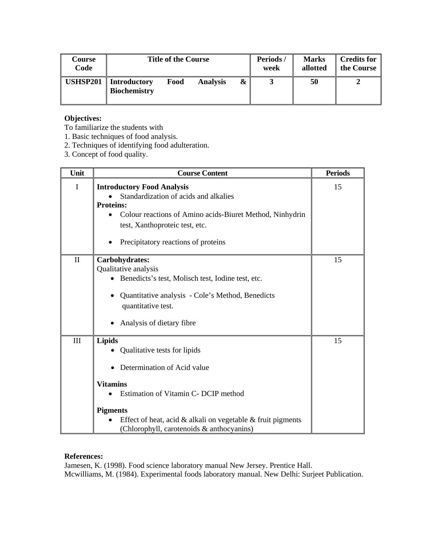| Course<br>Code  | <b>Title of the Course</b>                                     |   | Periods/<br>week | <b>Marks</b><br>allotted | <b>Credits for</b><br>the Course |
|-----------------|----------------------------------------------------------------|---|------------------|--------------------------|----------------------------------|
| <b>USHSP201</b> | Introductory<br>Food<br><b>Analysis</b><br><b>Biochemistry</b> | & |                  | 50                       |                                  |

To familiarize the students with

- 1. Basic techniques of food analysis.
- 2. Techniques of identifying food adulteration.
- 3. Concept of food quality.

| Unit         | <b>Course Content</b>                                                                                                                                                                                                                                                                                  | <b>Periods</b> |
|--------------|--------------------------------------------------------------------------------------------------------------------------------------------------------------------------------------------------------------------------------------------------------------------------------------------------------|----------------|
| $\mathbf I$  | <b>Introductory Food Analysis</b><br>Standardization of acids and alkalies<br><b>Proteins:</b><br>Colour reactions of Amino acids-Biuret Method, Ninhydrin<br>$\bullet$<br>test, Xanthoproteic test, etc.<br>Precipitatory reactions of proteins                                                       | 15             |
| $\mathbf{I}$ | Carbohydrates:<br>Qualitative analysis<br>• Benedicts's test, Molisch test, Iodine test, etc.<br>Quantitative analysis - Cole's Method, Benedicts<br>quantitative test.<br>Analysis of dietary fibre                                                                                                   | 15             |
| III          | <b>Lipids</b><br>Qualitative tests for lipids<br>Determination of Acid value<br><b>Vitamins</b><br>Estimation of Vitamin C- DCIP method<br>$\bullet$<br><b>Pigments</b><br>Effect of heat, acid $\&$ alkali on vegetable $\&$ fruit pigments<br>$\bullet$<br>(Chlorophyll, carotenoids & anthocyanins) | 15             |

# **References:**

Jamesen, K. (1998). Food science laboratory manual New Jersey. Prentice Hall. Mcwilliams, M. (1984). Experimental foods laboratory manual. New Delhi: Surjeet Publication.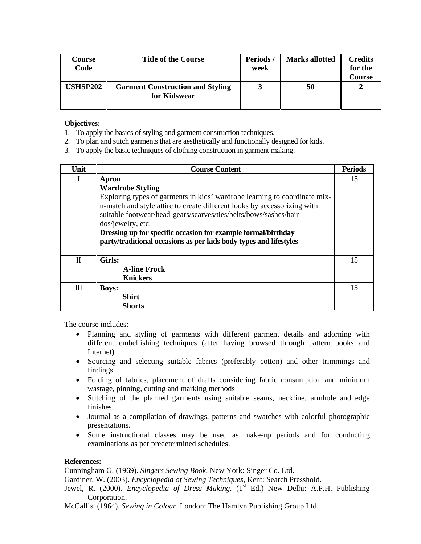| Course<br>Code  | <b>Title of the Course</b>                              | Periods/<br>week | <b>Marks allotted</b> | <b>Credits</b><br>for the<br>Course |
|-----------------|---------------------------------------------------------|------------------|-----------------------|-------------------------------------|
| <b>USHSP202</b> | <b>Garment Construction and Styling</b><br>for Kidswear |                  | 50                    |                                     |

- 1. To apply the basics of styling and garment construction techniques.
- 2. To plan and stitch garments that are aesthetically and functionally designed for kids.
- 3. To apply the basic techniques of clothing construction in garment making.

| Unit  | <b>Course Content</b>                                                                                                                                                                                                                                                                                                                                                                                                     | <b>Periods</b> |
|-------|---------------------------------------------------------------------------------------------------------------------------------------------------------------------------------------------------------------------------------------------------------------------------------------------------------------------------------------------------------------------------------------------------------------------------|----------------|
| I     | Apron<br><b>Wardrobe Styling</b><br>Exploring types of garments in kids' wardrobe learning to coordinate mix-<br>n-match and style attire to create different looks by accessorizing with<br>suitable footwear/head-gears/scarves/ties/belts/bows/sashes/hair-<br>dos/jewelry, etc.<br>Dressing up for specific occasion for example formal/birthday<br>party/traditional occasions as per kids body types and lifestyles | 15             |
| $\Pi$ | Girls:<br><b>A-line Frock</b><br><b>Knickers</b>                                                                                                                                                                                                                                                                                                                                                                          | 15             |
| Ш     | <b>Boys:</b><br><b>Shirt</b><br><b>Shorts</b>                                                                                                                                                                                                                                                                                                                                                                             | 15             |

The course includes:

- Planning and styling of garments with different garment details and adorning with different embellishing techniques (after having browsed through pattern books and Internet).
- Sourcing and selecting suitable fabrics (preferably cotton) and other trimmings and findings.
- Folding of fabrics, placement of drafts considering fabric consumption and minimum wastage, pinning, cutting and marking methods
- Stitching of the planned garments using suitable seams, neckline, armhole and edge finishes.
- Journal as a compilation of drawings, patterns and swatches with colorful photographic presentations.
- Some instructional classes may be used as make-up periods and for conducting examinations as per predetermined schedules.

# **References:**

Cunningham G. (1969). *Singers Sewing Book*, New York: Singer Co. Ltd.

Gardiner, W. (2003). *Encyclopedia of Sewing Techniques*, Kent: Search Presshold.

Jewel, R. (2000). *Encyclopedia of Dress Making.* (1<sup>st</sup> Ed.) New Delhi: A.P.H. Publishing Corporation.

McCall`s. (1964). *Sewing in Colour*. London: The Hamlyn Publishing Group Ltd.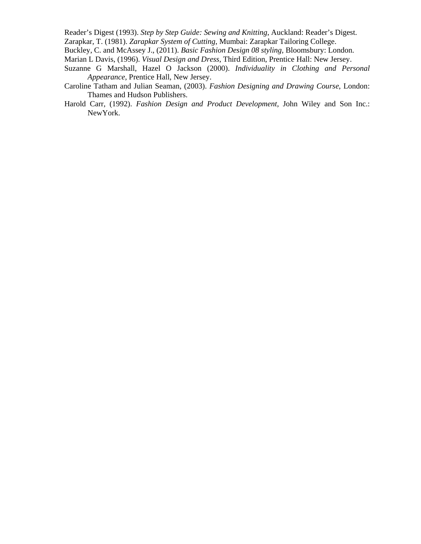Reader's Digest (1993). *Step by Step Guide: Sewing and Knitting*, Auckland: Reader's Digest. Zarapkar, T. (1981). *Zarapkar System of Cutting*, Mumbai: Zarapkar Tailoring College.

Buckley, C. and McAssey J., (2011). *Basic Fashion Design 08 styling,* Bloomsbury: London.

Marian L Davis, (1996). *Visual Design and Dress*, Third Edition, Prentice Hall: New Jersey.

- Suzanne G Marshall, Hazel O Jackson (2000). *Individuality in Clothing and Personal Appearance*, Prentice Hall, New Jersey.
- Caroline Tatham and Julian Seaman, (2003). *Fashion Designing and Drawing Course*, London: Thames and Hudson Publishers.
- Harold Carr, (1992). *Fashion Design and Product Development,* John Wiley and Son Inc.: NewYork.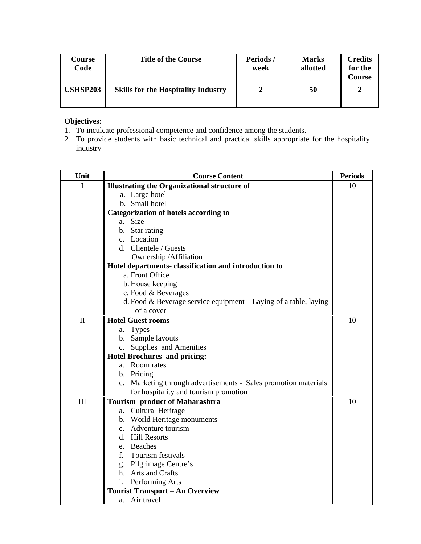| Course<br>Code  | <b>Title of the Course</b>                 | Periods/<br>week | <b>Marks</b><br>allotted | <b>Credits</b><br>for the<br>Course |
|-----------------|--------------------------------------------|------------------|--------------------------|-------------------------------------|
| <b>USHSP203</b> | <b>Skills for the Hospitality Industry</b> |                  | 50                       | າ                                   |

- 1. To inculcate professional competence and confidence among the students.
- 2. To provide students with basic technical and practical skills appropriate for the hospitality industry

| Unit         | <b>Course Content</b>                                            |    |
|--------------|------------------------------------------------------------------|----|
| I            | <b>Illustrating the Organizational structure of</b>              |    |
|              | a. Large hotel                                                   |    |
|              | b. Small hotel                                                   |    |
|              | <b>Categorization of hotels according to</b>                     |    |
|              | a. Size                                                          |    |
|              | b. Star rating                                                   |    |
|              | c. Location                                                      |    |
|              | d. Clientele / Guests                                            |    |
|              | Ownership / Affiliation                                          |    |
|              | Hotel departments- classification and introduction to            |    |
|              | a. Front Office                                                  |    |
|              | b. House keeping                                                 |    |
|              | c. Food & Beverages                                              |    |
|              | d. Food & Beverage service equipment - Laying of a table, laying |    |
|              | of a cover                                                       |    |
| $\mathbf{I}$ | <b>Hotel Guest rooms</b>                                         | 10 |
|              | a. Types                                                         |    |
|              | b. Sample layouts                                                |    |
|              | c. Supplies and Amenities                                        |    |
|              | <b>Hotel Brochures and pricing:</b>                              |    |
|              | a. Room rates                                                    |    |
|              | b. Pricing                                                       |    |
|              | c. Marketing through advertisements - Sales promotion materials  |    |
|              | for hospitality and tourism promotion                            |    |
| III          | <b>Tourism product of Maharashtra</b>                            | 10 |
|              | a. Cultural Heritage                                             |    |
|              | b. World Heritage monuments                                      |    |
|              | c. Adventure tourism                                             |    |
|              | d. Hill Resorts                                                  |    |
|              | e. Beaches                                                       |    |
|              | f. Tourism festivals                                             |    |
|              | g. Pilgrimage Centre's                                           |    |
|              | h. Arts and Crafts                                               |    |
|              | Performing Arts<br>i.                                            |    |
|              | <b>Tourist Transport - An Overview</b>                           |    |
|              | a. Air travel                                                    |    |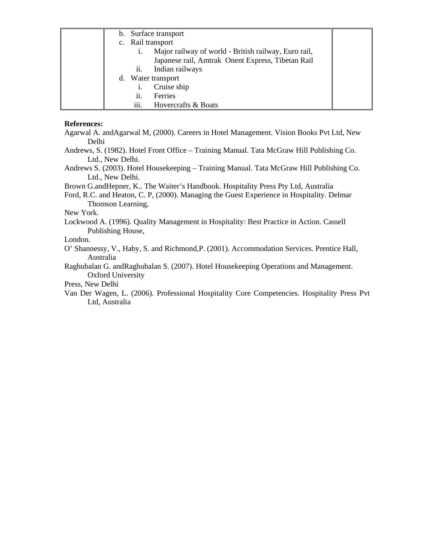|    | b. Surface transport                                 |  |
|----|------------------------------------------------------|--|
|    | c. Rail transport                                    |  |
|    | Major railway of world - British railway, Euro rail, |  |
|    | Japanese rail, Amtrak Onent Express, Tibetan Rail    |  |
|    | Indian railways<br>11.                               |  |
| d. | Water transport                                      |  |
|    | Cruise ship                                          |  |
|    | ii.<br>Ferries                                       |  |
|    | iii.<br>Hovercrafts & Boats                          |  |

#### **References:**

Agarwal A. andAgarwal M, (2000). Careers in Hotel Management. Vision Books Pvt Ltd, New Delhi

Andrews, S. (1982). Hotel Front Office – Training Manual. Tata McGraw Hill Publishing Co. Ltd., New Delhi.

Andrews S. (2003). Hotel Housekeeping – Training Manual. Tata McGraw Hill Publishing Co. Ltd., New Delhi.

Brown G.andHepner, K.. The Waiter's Handbook. Hospitality Press Pty Ltd, Australia

Ford, R.C. and Heaton, C. P, (2000). Managing the Guest Experience in Hospitality. Delmar Thomson Learning,

## New York.

Lockwood A. (1996). Quality Management in Hospitality: Best Practice in Action. Cassell Publishing House,

London.

O' Shannessy, V., Haby, S. and Richmond,P. (2001). Accommodation Services. Prentice Hall, Australia

Raghubalan G. andRaghubalan S. (2007). Hotel Housekeeping Operations and Management. Oxford University

Press, New Delhi

Van Der Wagen, L. (2006). Professional Hospitality Core Competencies. Hospitality Press Pvt Ltd, Australia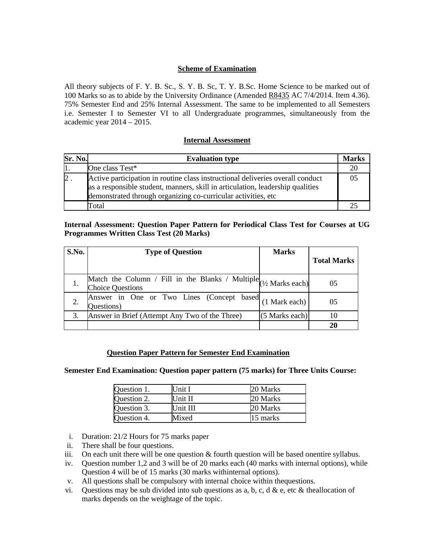## **Scheme of Examination**

All theory subjects of F. Y. B. Sc., S. Y. B. Sc, T. Y. B.Sc. Home Science to be marked out of 100 Marks so as to abide by the University Ordinance (Amended R8435 AC 7/4/2014. Item 4.36). 75% Semester End and 25% Internal Assessment. The same to be implemented to all Semesters i.e. Semester I to Semester VI to all Undergraduate programmes, simultaneously from the academic year 2014 – 2015.

## <sup>U</sup>**Internal Assessment**

| Sr. No.        | <b>Evaluation type</b>                                                                                                                                                                                                            | <b>Marks</b> |
|----------------|-----------------------------------------------------------------------------------------------------------------------------------------------------------------------------------------------------------------------------------|--------------|
|                | One class Test*                                                                                                                                                                                                                   | 20           |
| $\mathbf{2}$ . | Active participation in routine class instructional deliveries overall conduct<br>as a responsible student, manners, skill in articulation, leadership qualities<br>demonstrated through organizing co-curricular activities, etc |              |
|                | Total                                                                                                                                                                                                                             |              |

## **Internal Assessment: Question Paper Pattern for Periodical Class Test for Courses at UG Programmes Written Class Test (20 Marks)**

| S.No. | <b>Type of Question</b>                                                                         | <b>Marks</b>   |                    |
|-------|-------------------------------------------------------------------------------------------------|----------------|--------------------|
|       |                                                                                                 |                | <b>Total Marks</b> |
|       | Match the Column / Fill in the Blanks / Multiple $(1/2)$ Marks each)<br><b>Choice Questions</b> |                | 05                 |
|       | Answer in One or Two Lines (Concept based (1 Mark each)<br>Questions)                           |                | 05                 |
|       | Answer in Brief (Attempt Any Two of the Three)                                                  | (5 Marks each) | 10                 |
|       |                                                                                                 |                | 20                 |

# <sup>U</sup>**Question Paper Pattern for Semester End Examination**

#### **Semester End Examination: Question paper pattern (75 marks) for Three Units Course:**

| Question 1. | Unit I   | 20 Marks |
|-------------|----------|----------|
| Question 2. | Unit II  | 20 Marks |
| Question 3. | Unit III | 20 Marks |
| Question 4. | Mixed    | 15 marks |

- i. Duration: 21/2 Hours for 75 marks paper
- ii. There shall be four questions.
- iii. On each unit there will be one question  $&$  fourth question will be based onentire syllabus.
- iv. Question number 1,2 and 3 will be of 20 marks each (40 marks with internal options), while Question 4 will be of 15 marks (30 marks withinternal options).
- v. All questions shall be compulsory with internal choice within thequestions.
- vi. Questions may be sub divided into sub questions as a, b, c, d & e, etc & theallocation of marks depends on the weightage of the topic.